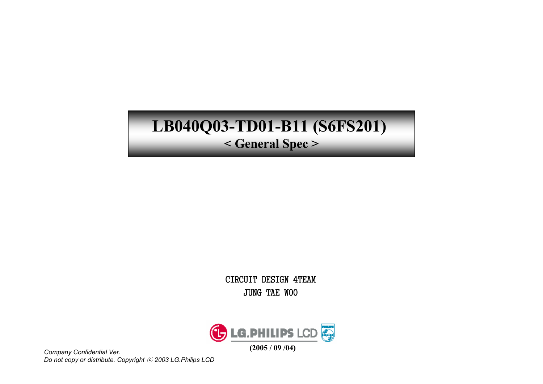# LB040Q03-TD01-B11 (S6FS201)

< General Spec >

CIRCUIT DESIGN 4TEAM **JUNG TAE WOO** 



Company Confidential Ver. Do not copy or distribute. Copyright © 2003 LG.Philips LCD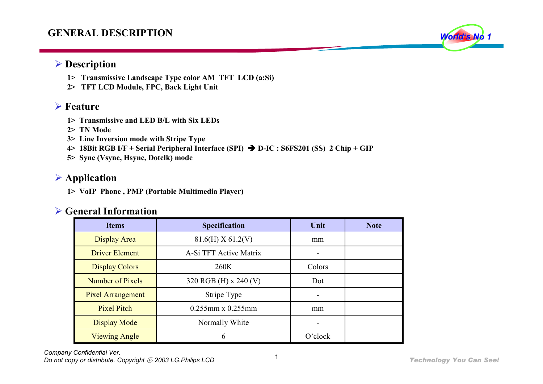## GENERAL DESCRIPTION



- 1> Transmissive Landscape Type color AM TFT LCD (a:Si)
- 2> TFT LCD Module, FPC, Back Light Unit

#### $\triangleright$  Feature

- 1> Transmissive and LED B/L with Six LEDs
- 2> TN Mode
- 3> Line Inversion mode with Stripe Type
- 4> 18Bit RGB I/F + Serial Peripheral Interface (SPI) D-IC : S6FS201 (SS) 2 Chip + GIP
- 5> Sync (Vsync, Hsync, Dotclk) mode

## Application

1> VoIP Phone , PMP (Portable Multimedia Player)

## $\triangleright$  General Information

| <b>Items</b>             | <b>Specification</b>    | Unit       | <b>Note</b> |
|--------------------------|-------------------------|------------|-------------|
| Display Area             | $81.6(H)$ X 61.2(V)     | mm         |             |
| <b>Driver Element</b>    | A-Si TFT Active Matrix  |            |             |
| <b>Display Colors</b>    | 260K                    | Colors     |             |
| Number of Pixels         | 320 RGB (H) x 240 (V)   | Dot        |             |
| <b>Pixel Arrangement</b> | Stripe Type             |            |             |
| <b>Pixel Pitch</b>       | $0.255$ mm x $0.255$ mm |            |             |
| Display Mode             | Normally White          |            |             |
| <b>Viewing Angle</b>     | 6                       | $O$ 'clock |             |

World's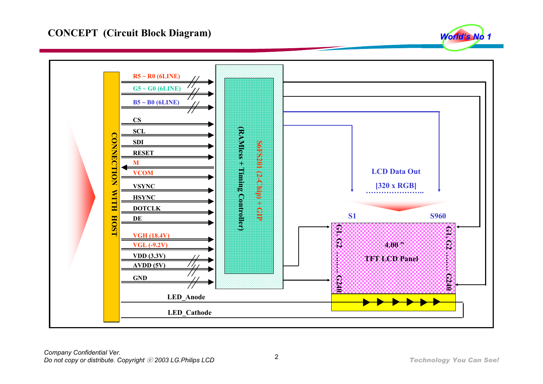

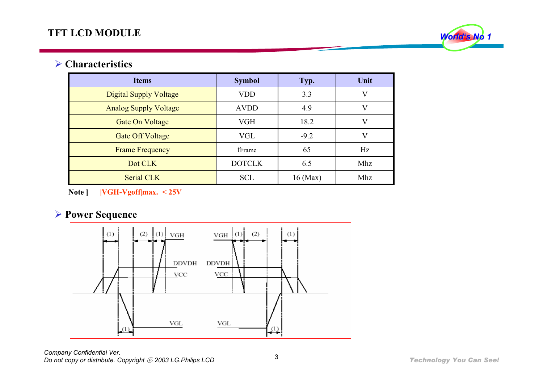

#### **▶ Characteristics**

| <b>Items</b>                  | <b>Symbol</b> | Typ.       | Unit |
|-------------------------------|---------------|------------|------|
| <b>Digital Supply Voltage</b> | <b>VDD</b>    | 3.3        |      |
| <b>Analog Supply Voltage</b>  | <b>AVDD</b>   | 4.9        | V    |
| <b>Gate On Voltage</b>        | VGH           | 18.2       | V    |
| <b>Gate Off Voltage</b>       | <b>VGL</b>    | $-9.2$     |      |
| <b>Frame Frequency</b>        | fFrame        | 65         | Hz   |
| Dot CLK                       | <b>DOTCLK</b> | 6.5        | Mhz  |
| Serial CLK                    | <b>SCL</b>    | $16$ (Max) | Mhz  |

Note ] |VGH-Vgoff|max. < 25V

## **► Power Sequence**



Company Confidential Ver. Do not copy or distribute. Copyright  $\oslash$  2003 LG. Philips LCD